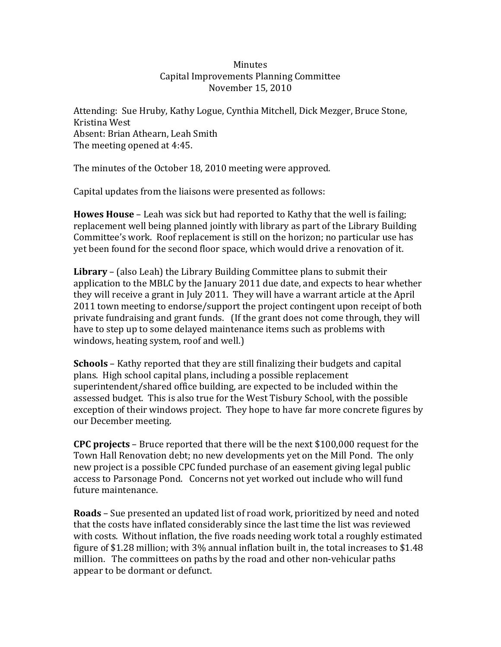## **Minutes** Capital Improvements Planning Committee November 15, 2010

Attending: Sue Hruby, Kathy Logue, Cynthia Mitchell, Dick Mezger, Bruce Stone, Kristina West Absent: Brian Athearn, Leah Smith The meeting opened at 4:45.

The minutes of the October 18, 2010 meeting were approved.

Capital updates from the liaisons were presented as follows:

**Howes House** – Leah was sick but had reported to Kathy that the well is failing; replacement well being planned jointly with library as part of the Library Building Committee's work. Roof replacement is still on the horizon; no particular use has yet been found for the second floor space, which would drive a renovation of it.

**Library** – (also Leah) the Library Building Committee plans to submit their application to the MBLC by the January 2011 due date, and expects to hear whether they will receive a grant in July 2011. They will have a warrant article at the April 2011 town meeting to endorse/support the project contingent upon receipt of both private fundraising and grant funds. (If the grant does not come through, they will have to step up to some delayed maintenance items such as problems with windows, heating system, roof and well.)

**Schools** – Kathy reported that they are still finalizing their budgets and capital plans. High school capital plans, including a possible replacement superintendent/shared office building, are expected to be included within the assessed budget. This is also true for the West Tisbury School, with the possible exception of their windows project. They hope to have far more concrete figures by our December meeting.

**CPC projects** – Bruce reported that there will be the next \$100,000 request for the Town Hall Renovation debt; no new developments yet on the Mill Pond. The only new project is a possible CPC funded purchase of an easement giving legal public access to Parsonage Pond. Concerns not yet worked out include who will fund future maintenance.

**Roads** – Sue presented an updated list of road work, prioritized by need and noted that the costs have inflated considerably since the last time the list was reviewed with costs. Without inflation, the five roads needing work total a roughly estimated figure of \$1.28 million; with 3% annual inflation built in, the total increases to \$1.48 million. The committees on paths by the road and other non-vehicular paths appear to be dormant or defunct.